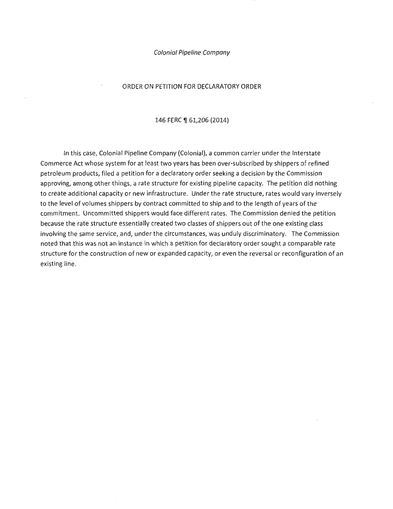#### ORDER ON PETITION FOR DECLARATORY ORDER

146 FERC ¶ 61,206 (2014)

In this case, Colonial Pipeline Company (Colonial), a common carrier urider the Interstate Commerce Act whose system for at least two years has been over-subscribed by shippers of refined petroleum products, filed a petition for a declaratory order seeking a decision by the Commission approving, among other things, a rate structure for existing pipeline capacity. The petition did nothing to create additional capacity or new infrastructure. Under the rate structure, rates would vary inversely to the level of volumes shippers by contract committed to ship and to the length of years of the commitment. Uncommitted shippers would face different rates. The Commission denied the petition because the rate structure essentially created two classes of shippers out of the one existing class involving the same service, and, under the circumstances, was unduly discriminatory. The Commission noted that this was not an instance in which a petition for declaratory order sought a comparable rate structure for the construction of new or expanded capacity, or even the reversal or reconfiguration of an existing line.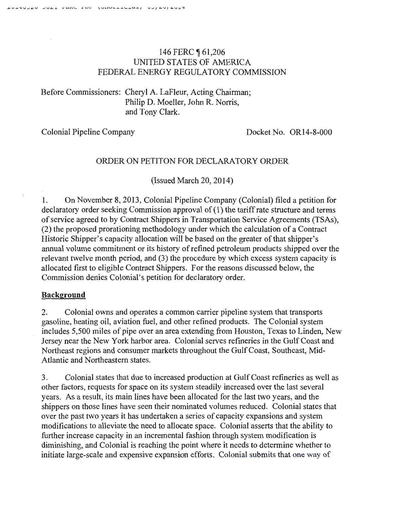# 146 FERC 161,206 UNITED STATES OF AMERICA FEDERAL ENERGY REGULATORY COMMISSION

Before Commissioners: Cheryl A. LaFleur, Acting Chairman; Philip D. Moeller, John R. Norris, and Tony Clark.

Colonial Pipeline Company Docket No. OR14-8-000

# ORDER ON PETITON FOR DECLARATORY ORDER

(Issued March 20, 2014)

1. On November 8, 2013, Colonial Pipeline Company (Colonial) filed a petition for declaratory order seeking Commission approval of  $(1)$  the tariff rate structure and terms of service agreed to by Contract Shippers in Transportation Service Agreements (TSAs ), (2) the proposed prorationing methodology under which the calculation of a Contract Historic Shipper's capacity allocation will be based on the greater of that shipper's annual volume commitment or its history of refined petroleum products shipped over the relevant twelve month period, and (3) the procedure by which excess system capacity is allocated first to eligible Contract Shippers. For the reasons discussed below, the Commission denies Colonial's petition for declaratory order.

# **Background**

2. Colonial owns and operates a common carrier pipeline system that transports gasoline, heating oil, aviation fuel, and other refined products. The Colonial system includes 5,500 miles of pipe over an area extending from Houston, Texas to Linden, New Jersey near the New York harbor area. Colonial serves refineries in the Gulf Coast and Northeast regions and consumer markets throughout the Gulf Coast, Southeast, Mid-Atlantic and Northeastern states.

3. Colonial states that due to increased production at Gulf Coast refineries as well as other factors, requests for space on its system steadily increased over the last several years. As a result, its main lines have been allocated for the last two years, and the shippers on those lines have seen their nominated volumes reduced. Colonial states that over the past two years it has undertaken a series of capacity expansions and system modifications to alleviate the need to allocate space. Colonial asserts that the ability to further increase capacity in an incremental fashion through system modification is diminishing, and Colonial is reaching the point where it needs to determine whether to initiate large-scale and expensive expansion efforts. Colonial submits that one way of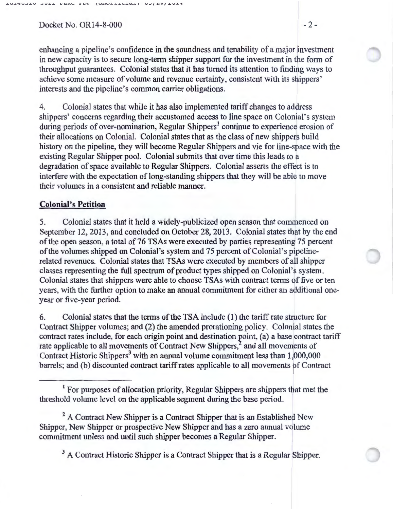$Docket No. OR14-8-000$   $-2-$ 

enhancing a pipeline's confidence in the soundness and tenability of a major investment in new capacity is to secure long-term shipper support for the investment in the form of throughput guarantees. Colonial states that it has turned its attention to finding ways to achieve some measure of volume and revenue certainty, consistent with its shippers' interests and the pipeline's common carrier obligations.

4. Colonial states that while it has also implemented tariff changes to address shippers' concerns regarding their accustomed access to line space on Colonial's system during periods of over-nomination, Regular Shippers<sup>1</sup> continue to experience erosion of their allocations on ColoniaL Colonial states that as the class of new shippers build history on the pipeline, they will become Regular Shippers and vie for line-space with the existing Regular Shipper pooL Colonial submits that over time this leads to a degradation of space available to Regular Shippers. Colonial asserts the effect is to interfere with the expectation of long-standing shippers that they will be able to move their volumes in a consistent and reliable manner.

### **Colonial's Petition**

5. Colonial states that it held a widely-publicized open season that commenced on September 12, 2013, and concluded on October 28, 2013. Colonial states that by the end of the open season, a total of 76 TSAs were executed by parties representing 75 percent of the volumes shipped on Colonial's system and 75 percent of Colonial's pipelinerelated revenues. Colonial states that TSAs were executed by members of all shipper classes representing the full spectrum of product types shipped on Colonial's system. Colonial states that shippers were able to choose TSAs with contract terms of five or ten years, with the further option to make an annual commitment for either an additional oneyear or five-year period.

6. Colonial states that the terms of the TSA include (1) the tariff rate structure for Contract Shipper volumes; and (2) the amended prorationing policy. Colonial states the contract rates include, for each origin point and destination point, (a) a base contract tariff rate applicable to all movements of Contract New Shippers,<sup>2</sup> and all movements of Contract Historic Shippers<sup>3</sup> with an annual volume commitment less than  $1,000,000$ barrels; and (b) discounted contract tariff rates applicable to all movements of Contract

<sup>2</sup> A Contract New Shipper is a Contract Shipper that is an Established New Shipper, New Shipper or prospective New Shipper and has a zero annual volume commitment unless and until such shipper becomes a Regular Shipper.

<sup>3</sup> A Contract Historic Shipper is a Contract Shipper that is a Regular Shipper.

<sup>&</sup>lt;sup>1</sup> For purposes of allocation priority, Regular Shippers are shippers that met the threshold volume level on the applicable segment during the base period.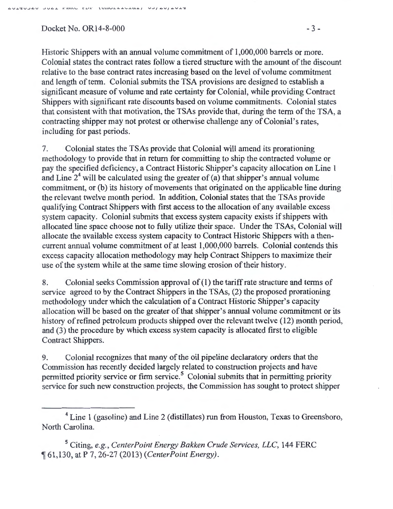$Dacket No. OR14-8-000$   $-3-$ 

Historic Shippers with an annual volume commitment of 1,000,000 barrels or more. Colonial states the contract rates follow a tiered structure with the amount of the discount relative to the base contract rates increasing based on the level of volume commitment and length of term. Colonial submits the TSA provisions are designed to establish a significant measure of volume and rate certainty for Colonial, while providing Contract Shippers with significant rate discounts based on volume commitments. Colonial states that consistent with that motivation, the TSAs provide that, during the term of the TSA, a contracting shipper may not protest or otherwise challenge any of Colonial's rates, including for past periods.

7. Colonial states the TSAs provide that Colonial will amend its prorationing methodology to provide that in return for committing to ship the contracted volume or pay the specified deficiency, a Contract Historic Shipper's capacity allocation on Line 1 and Line  $2<sup>4</sup>$  will be calculated using the greater of (a) that shipper's annual volume commitment, or (b) its history of movements that originated on the applicable line during the relevant twelve month period. In addition, Colonial states that the TSAs provide qualifying Contract Shippers with first access to the allocation of any available excess system capacity. Colonial submits that excess system capacity exists if shippers with allocated line space choose not to fully utilize their space. Under the TSAs, Colonial will allocate the available excess system capacity to Contract Historic Shippers with a thencurrent annual volume commitment of at least 1,000,000 barrels. Colonial contends this excess capacity allocation methodology may help Contract Shippers to maximize their use of the system while at the same time slowing erosion of their history.

8. Colonial seeks Commission approval of ( 1) the tariff rate structure and terms of service agreed to by the Contract Shippers in the TSAs, (2) the proposed prorationing methodology under which the calculation of a Contract Historic Shipper's capacity allocation will be based on the greater of that shipper's annual volume commitment or its history of refined petroleum products shipped over the relevant twelve (12) month period, and (3) the procedure by which excess system capacity is allocated first to eligible Contract Shippers.

9. Colonial recognizes that many of the oil pipeline declaratory orders that the Commission has recently decided largely related to construction projects and have permitted priority service or firm service.<sup>5</sup> Colonial submits that in permitting priority service for such new construction projects, the Commission has sought to protect shipper

5 Citing, *e.g., CenterPoint Energy Bakken Crude Services, LLC,* 144 FERC <sup>~</sup>61 ,130, at P 7, 26-27 (2013) *(CenterPoint Energy).* 

<sup>&</sup>lt;sup>4</sup> Line 1 (gasoline) and Line 2 (distillates) run from Houston, Texas to Greensboro, North Carolina.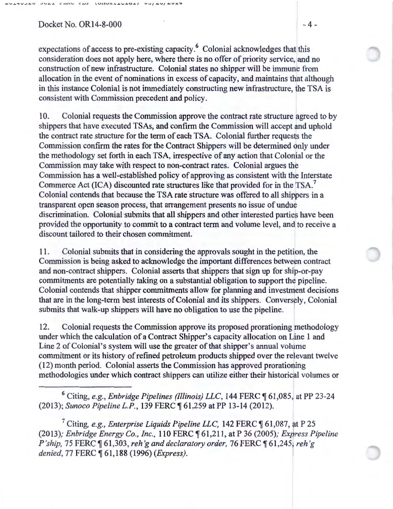#### $Docket No. OR14-8-000$   $-4-$

expectations of access to pre-existing capacity.<sup>6</sup> Colonial acknowledges that this consideration does not apply here, where there is no offer of priority service, and no construction of new infrastructure. Colonial states no shipper will be immune from allocation in the event of nominations in excess of capacity, and maintains that although in this instance Colonial is not immediately constructing new infrastructure, the TSA is consistent with Commission precedent and policy.

10. Colonial requests the Commission approve the contract rate structure agreed to by shippers that have executed TSAs, and confirm the Commission will accept and uphold the contract rate structure for the term of each TSA. Colonial further requests the Commission confirm the rates for the Contract Shippers will be determined only under the methodology set forth in each TSA, irrespective of any action that Colonial or the Commission may take with respect to non-contract rates. Colonial argues the Commission has a well-established policy of approving as consistent with the Interstate Commerce Act (ICA) discounted rate structures like that provided for in the TSA.<sup>7</sup> Colonial contends that because the TSA rate structure was offered to all shippers in a transparent open season process, that arrangement presents no issue of undue discrimination. Colonial submits that all shippers and other interested parties have been provided the opportunity to commit to a contract term and volume level, and to receive a discount tailored to their chosen commitment.

11. Colonial submits that in considering the approvals sought in the petition, the Commission is being asked to acknowledge the important differences between contract and non-contract shippers. Colonial asserts that shippers that sign up for ship-or-pay commitments are potentially taking on a substantial obligation to support the pipeline. Colonial contends that shipper commitments allow for planning and investment decisions that are in the long-term best interests of Colonial and its shippers. Conversely, Colonial submits that walk-up shippers will have no obligation to use the pipeline.

12. Colonial requests the Commission approve its proposed prorationing methodology under which the calculation of a Contract Shipper's capacity allocation on Line 1 and Line 2 of Colonial's system will use the greater of that shipper's annual volume commitment or its history of refined petroleum products shipped over the relevant twelve (12) month period. Colonial asserts the Commission has approved prorationing methodologies under which contract shippers can utilize either their historical volumes or

<sup>6</sup> Citing, *e.g., Enbridge Pipelines (Illinois) LLC*, 144 FERC ¶ 61,085, at PP 23-24 (2013); Sunoco Pipeline L.P., 139 FERC ¶ 61,259 at PP 13-14 (2012).

<sup>7</sup> Citing, *e.g., Enterprise Liquids Pipeline LLC*, 142 FERC ¶ 61,087, at P 25 (2013); *Enbridge Energy Co., Inc.,* 110 FERC ~ 61 ,211, at P 36 (2005); *Express Pipeline P'ship, 75 FERC*  $\llbracket 61,303$ , *reh'g and declaratory order, 76 FERC*  $\llbracket 61,245$ , *reh'g denied,* 77 FERC ~ 61,1 88 (1996) *(Express).*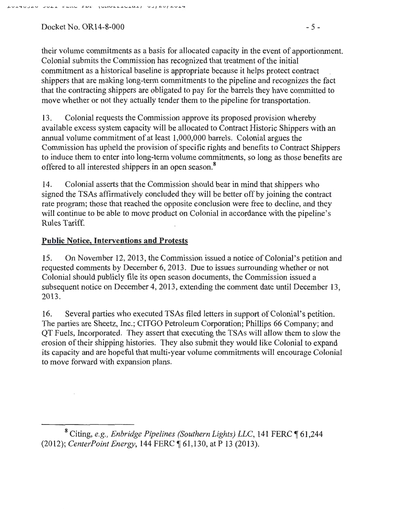### $Dacket No. OR14-8-000$  - 5 -

their volume commitments as a basis for allocated capacity in the event of apportionment. Colonial submits the Commission has recognized that treatment of the initial commitment as a historical baseline is appropriate because it helps protect contract shippers that are making long-term commitments to the pipeline and recognizes the fact that the contracting shippers are obligated to pay for the barrels they have committed to move whether or not they actually tender them to the pipeline for transportation.

13. Colonial requests the Commission approve its proposed provision whereby available excess system capacity will be allocated to Contract Historic Shippers with an annual volume commitment of at least 1,000,000 barrels. Colonial argues the Commission has upheld the provision of specific rights and benefits to Contract Shippers to induce them to enter into long-term volume commitments, so long as those benefits are offered to all interested shippers in an open season.<sup>8</sup>

14. Colonial asserts that the Commission should bear in mind that shippers who signed the TSAs affirmatively concluded they will be better off by joining the contract rate program; those that reached the opposite conclusion were free to decline, and they will continue to be able to move product on Colonial in accordance with the pipeline's Rules Tariff.

# **Public Notice, Interventions and Protests**

15. On November 12, 2013, the Commission issued a notice of Colonial's petition and requested comments by December 6, 2013. Due to issues surrounding whether or not Colonial should publicly file its open season documents, the Commission issued a subsequent notice on December 4, 2013, extending the comment date until December 13, 2013.

16. Several parties who executed TSAs filed letters in support of Colonial's petition. The parties are Sheetz, Inc.; CITGO Petroleum Corporation; Phillips 66 Company; and QT Fuels, Incorporated. They assert that executing the TSAs will allow them to slow the erosion of their shipping histories. They also submit they would like Colonial to expand its capacity and are hopeful that multi-year volume commitments will encourage Colonial to move forward with expansion plans.

<sup>&</sup>lt;sup>8</sup> Citing, *e.g., Enbridge Pipelines (Southern Lights) LLC*, 141 FERC 161,244 (2012); *CenterPoint Energy*, 144 FERC ¶ 61,130, at P 13 (2013).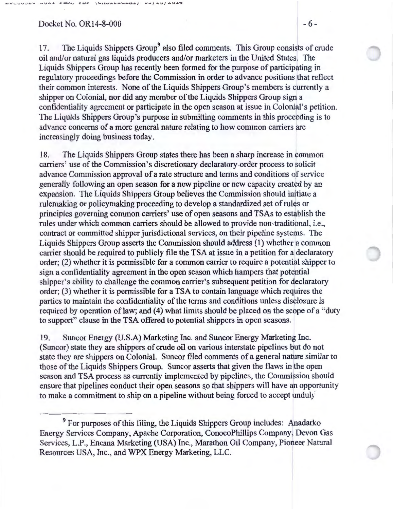#### $Dacket No. OR14-8-000$  - 6 -

EDE (UNULLILLED)

17. The Liquids Shippers Group<sup>9</sup> also filed comments. This Group consists of crude oil and/or natural gas liquids producers and/or marketers in the United States. The Liquids Shippers Group has recently been formed for the purpose of participating in regulatory proceedings before the Commission in order to advance positions that reflect their common interests. None of the Liquids Shippers Group's members is currently a shipper on Colonial, nor did any member of the Liquids Shippers Group sign a confidentiality agreement or participate in the open season at issue in Colonial's petition. The Liquids Shippers Group's purpose in submitting comments in this proceeding is to advance concerns of a more general nature relating to how common carriers are increasingly doing business today.

18. The Liquids Shippers Group states there has been a sharp increase in common carriers' use of the Commission's discretionary declaratory .order process to solicit advance Commission approval of a rate structure and terms and conditions of service generally following an open season for a new pipeline or new capacity created by an expansion. The Liquids Shippers Group believes the Commission should initiate a rulemaking or policymaking proceeding to develop a standardized set of rules or principles governing common carriers' use of open seasons and TSAs to establish the rules under which common carriers should be allowed to provide non-traditional, i.e., contract or committed shipper jurisdictional services, on their pipeline systems. The Liquids Shippers Group asserts the Commission should address (1) whether a common carrier should be required to publicly file the TSA at issue in a petition for a declaratory order; (2) whether it is permissible for a common carrier to require a potential shipper to sign a confidentiality agreement in the open season which hampers that potential shipper's ability to challenge the common carrier's subsequent petition for declaratory order; (3) whether it is permissible for a TSA to contain language which requires the parties to maintain the confidentiality of the terms and conditions unless disclosure is required by operation of law; and (4) what limits should be placed on the scope of a "duty to support" clause in the TSA offered to potential shippers in open seasons.

19. Suncor Energy (U.S.A) Marketing Inc. and Suncor Energy Marketing Inc. (Suncor) state they are shippers of crude oil on various interstate pipelines but do not state they are shippers on Colonial. Suncor filed comments of a general nature similar to those of the Liquids Shippers Group. Suncor asserts that given the flaws in the open season and TSA process as currently implemented by pipelines, the Commission should ensure that pipelines conduct their open seasons so that shippers will have an opportunity to make a commitment to ship on a pipeline without being forced to accept unduly·

<sup>9</sup> For purposes of this filing, the Liquids Shippers Group includes: Anadarko Energy Services Company, Apache Corporation, ConocoPhillips Company, Devon Gas Services, L.P., Encana Marketing (USA) Inc., Marathon Oil Company, Pioneer Natural Resources USA, Inc., and WPX Energy Marketing, LLC.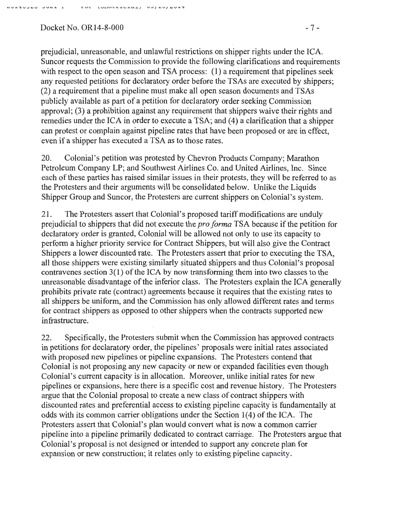#### Docket No. OR14-8-000 - 7 -

prejudicial, unreasonable, and unlawful restrictions on shipper rights under the ICA. Suncor requests the Commission to provide the following clarifications and requirements with respect to the open season and TSA process: (1) a requirement that pipelines seek any requested petitions for declaratory order before the TSAs are executed by shippers; (2) a requirement that a pipeline must make all open season documents and TSAs publicly available as part of a petition for declaratory order seeking Commission approval; (3) a prohibition against any requirement that shippers waive their rights and remedies under the ICA in order to execute a TSA; and (4) a clarification that a shipper can protest or complain against pipeline rates that have been proposed or are in effect, even if a shipper has executed a TSA as to those rates.

20. Colonial's petition was protested by Chevron Products Company; Marathon Petroleum Company LP; and Southwest Airlines Co. and United Airlines, Inc. Since each of these parties has raised similar issues in their protests, they will be referred to as the Protesters and their arguments will be consolidated below. Unlike the Liquids Shipper Group and Suncor, the Protesters are current shippers on Colonial's system.

21. The Protesters assert that Colonial's proposed tariff modifications are unduly prejudicial to shippers that did not execute the *pro forma* TSA because if the petition for declaratory order is granted, Colonial will be allowed not only to use its capacity to perform a higher priority service for Contract Shippers, but will also give the Contract Shippers a lower discounted rate. The Protesters assert that prior to executing the TSA, all those shippers were existing similarly situated shippers and thus Colonial's proposal contravenes section  $3(1)$  of the ICA by now transforming them into two classes to the unreasonable disadvantage of the inferior class. The Protesters explain the ICA generally prohibits private rate (contract) agreements because it requires that the existing rates to all shippers be uniform, and the Commission has only allowed different rates and terms for contract shippers as opposed to other shippers when the contracts supported new infrastructure.

22. Specifically, the Protesters submit when the Commission has approved contracts in petitions for declaratory order, the pipelines' proposals were initial rates associated with proposed new pipelines or pipeline expansions. The Protesters contend that Colonial is not proposing any new capacity or new or expanded facilities even though Colonial's current capacity is in allocation. Moreover, unlike initial rates for new pipelines or expansions, here there is a specific cost and revenue history. The Protesters argue that the Colonial proposal to create a new class of contract shippers with discounted rates and preferential access to existing pipeline capacity is fundamentally at odds with its common carrier obligations under the Section 1(4) of the ICA. The Protesters assert that Colonial's plan would convert what is now a common carrier pipeline into a pipeline primarily dedicated to contract carriage. The Protesters argue that Colonial's proposal is not designed or intended to support any concrete plan for expansion or new construction; it relates only to existing pipeline capacity.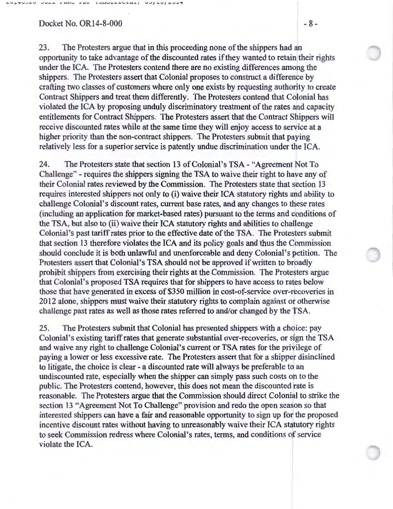#### $Dacket No. OR14-8-000$   $-8-$

now the Innerstates and and thes

23. The Protesters argue that in this proceeding none of the shippers had an opportunity to take advantage of the discounted rates if they wanted to retain their rights under the ICA. The Protesters contend there are no existing differences among the shippers. The Protesters assert that Colonial proposes to construct a difference by crafting two classes of customers where only one exists by requesting authority to create Contract Shippers and treat them differently. The Protesters contend that Colonial has violated the ICA by proposing unduly discriminatory treatment of the rates and capacity entitlements for Contract Shippers. The Protesters assert that the Contract Shippers will receive discounted rates while at the same time they will enjoy access to service at a higher priority than the non-contract shippers. The Protesters submit that paying relatively less for a superior service is patently undue discrimination under the ICA.

24. The Protesters state that section 13 of Colonial's TSA- "Agreement Not To Challenge" - requires the shippers signing the TSA to waive their right to have any of their Colonial rates reviewed by the Commission. The Protesters state that section 13 requires interested shippers not only to (i) waive their ICA statutory rights and ability to challenge Colonial's discount rates, current base rates, and any changes to these rates (including an application for market-based rates) pursuant to the terms and conditions of the TSA, but also to (ii) waive their ICA statutory rights and abilities to challenge Colonial's past tariff rates prior to the effective date of the TSA. The Protesters submit that section 13 therefore violates the ICA and its policy goals and thus the Commission should conclude it is both unlawful and unenforceable and deny Colonial's petition. The Protesters assert that Colonial's TSA should not be approved if written to broadly prohibit shippers from exercising their rights at the Commission. The Protesters argue that Colonial's proposed TSA requires that for shippers to have access to rates below those that have generated in excess of \$350 million in cost-of-service over-recoveries in 2012 alone, shippers must waive their statutory rights to complain against or otherwise challenge past rates as well as those rates referred to and/or changed by the TSA.

25. The Protesters submit that Colonial has presented shippers with a choice: pay Colonial's existing tariff rates that generate substantial over-recoveries, or sign the TSA and waive any right to challenge Colonial's current or TSA rates for the privilege of paying a lower or less excessive rate. The Protesters assert that for a shipper disinclined to litigate, the choice is clear - a discounted rate will always be preferable to an undiscounted rate, especially when the shipper can simply pass such costs on to the public. The Protesters contend, however, this does not mean the discounted rate is reasonable. The Protesters argue that the Commission should direct Colonial to strike the section 13 "Agreement Not To Challenge" provision and redo the open season so that interested shippers can have a fair and reasonable opportunity to sign up for the proposed incentive discount rates without having to unreasonably waive their ICA statutory rights to seek Commission redress where Colonial's rates, terms, and conditions of service violate the ICA.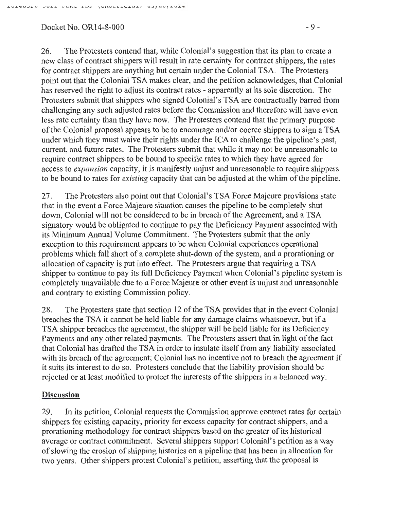# $Docket No. OR14-8-000$  - 9 -

26. The Protesters contend that, while Colonial's suggestion that its plan to create a new class of contract shippers will result in rate certainty for contract shippers, the rates for contract shippers are anything but certain under the Colonial TSA. The Protesters point out that the Colonial TSA makes clear, and the petition acknowledges, that Colonial has reserved the right to adjust its contract rates - apparently at its sole discretion. The Protesters submit that shippers who signed Colonial's TSA are contractually barred from challenging any such adjusted rates before the Commission and therefore will have even less rate certainty than they have now. The Protesters contend that the primary purpose of the Colonial proposal appears to be to encourage and/or coerce shippers to sign a TSA under which they must waive their rights under the ICA to challenge the pipeline's past, current, and future rates. The Protesters submit that while it may not be unreasonable to require contract shippers to be bound to specific rates to which they have agreed for access to *expansion* capacity, it is manifestly unjust and unreasonable to require shippers to be bound to rates for *existing* capacity that can be adjusted at the whim of the pipeline.

27. The Protesters also point out that Colonial's TSA Force Majeure provisions state that in the event a Force Majeure situation causes the pipeline to be completely shut down, Colonial will not be considered to be in breach of the Agreement, and a TSA signatory would be obligated to continue to pay the Deficiency Payment associated with its Minimum Annual Volume Commitment. The Protesters submit that the only exception to this requirement appears to be when Colonial experiences operational problems which fall short of a complete shut-down of the system, and a prorationing or allocation of capacity is put into effect. The Protesters argue that requiring a TSA shipper to continue to pay its full Deficiency Payment when Colonial's pipeline system is completely unavailable due to a Force Majeure or other event is unjust and unreasonable and contrary to existing Commission policy.

28. The Protesters state that section 12 of the TSA provides that in the event Colonial breaches the TSA it cannot be held liable for any damage claims whatsoever, but if a TSA shipper breaches the agreement, the shipper will be held liable for its Deficiency Payments and any other related payments. The Protesters assert that in light of the fact that Colonial has drafted the TSA in order to insulate itself from any liability associated with its breach of the agreement; Colonial has no incentive not to breach the agreement if it suits its interest to do so. Protesters conclude that the liability provision should be rejected or at least modified to protect the interests of the shippers in a balanced way.

# **Discussion**

29. In its petition, Colonial requests the Commission approve contract rates for certain shippers for existing capacity, priority for excess capacity for contract shippers, and a prorationing methodology for contract shippers based on the greater of its historical average or contract commitment. Several shippers support Colonial's petition as a way of slowing the erosion of shipping histories on a pipeline that has been in allocation for two years. Other shippers protest Colonial's petition, asserting that the proposal is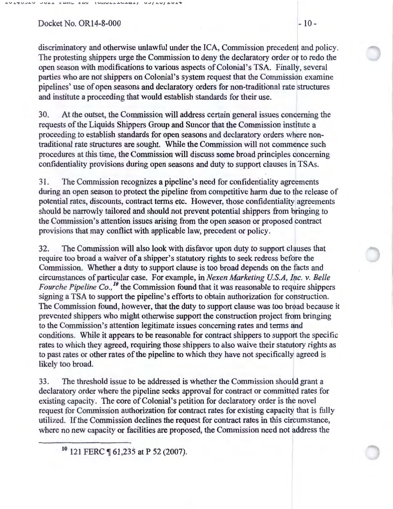FERN EDE

 $1$ UILLLLLLCL

discriminatory and otherwise unlawful under the ICA, Commission precedent and policy. The protesting shippers urge the Commission to deny the declaratory order or to redo the open season with modifications to various aspects of Colonial's TSA. Finally, several parties who are not shippers on Colonial's system request that the Commission examine pipelines' use of open seasons and declaratory orders for non-traditional rate structures and institute a proceeding that would establish standards for their use.

 $UJ/AUI/4U+7$ 

30. At the outset, the Commission will address certain general issues concerning the requests of the Liquids Shippers Group and Suncor that the Commission institute a proceeding to establish standards for open seasons and declaratory orders where nontraditional rate structures are sought. While the Commission will not commence such procedures at this time, the Commission will discuss some broad principles concerning confidentiality provisions during open seasons and duty to support clauses in TSAs.

31. The Commission recognizes a pipeline's need for confidentiality agreements during an open season to protect the pipeline from competitive harm due to the release of potential rates, discounts, contract terms etc. However, those confidentiality agreements should be narrowly tailored and should not prevent potential shippers from bringing to the Commission's attention issues arising from the open season or proposed contract provisions that may conflict with applicable law, precedent or policy.

32. The Commission will also look with disfavor upon duty to support clauses that require too broad a waiver of a shipper's statutory rights to seek redress before the Commission. Whether a duty to support clause is too broad depends on the facts and circumstances of particular case. For example, in *Nexen Marketing U. S.A, Inc. v. Belle Fourche Pipeline Co.,*<sup>10</sup> the Commission found that it was reasonable to require shippers signing a TSA to support the pipeline's efforts to obtain authorization for construction. The Commission found, however, that the duty to support clause was too broad because it prevented shippers who might otherwise support the construction project from bringing to the Commission's attention legitimate issues concerning rates and terms and conditions. While it appears to be reasonable for contract shippers to support the specific rates to which they agreed, requiring those shippers to also waive their statutory rights as to past rates or other rates of the pipeline to which they have not specifically agreed is likely too broad.

33. The threshold issue to be addressed is whether the Commission should grant a declaratory order where the pipeline seeks approval for contract or committed rates for existing capacity. The core of Colonial's petition for declaratory order is the novel request for Commission authorization for contract rates for existing capacity that is fully utilized. If the Commission declines the request for contract rates in this circumstance, where no new capacity or facilities are proposed, the Commission need not address the

<sup>10</sup> 121 FERC ¶ 61,235 at P 52 (2007).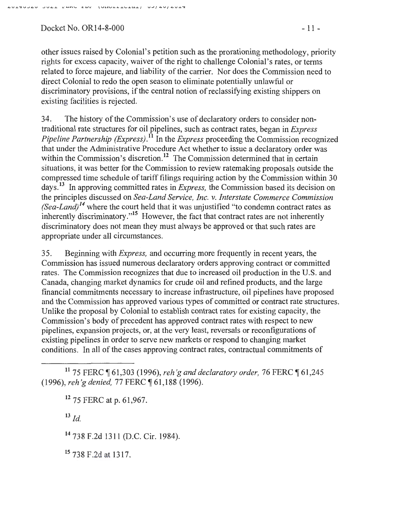Docket No. OR14-8-000 - 11 -

other issues raised by Colonial's petition such as the prorationing methodology, priority rights for excess capacity, waiver of the right to challenge Colonial's rates, or terms related to force majeure, and liability of the carrier. Nor does the Commission need to direct Colonial to redo the open season to eliminate potentially unlawful or discriminatory provisions, if the central notion of reclassifying existing shippers on existing facilities is rejected.

34. The history of the Commission's use of declaratory orders to consider nontraditional rate structures for oil pipelines, such as contract rates, began in *Express Pipeline Partnership (Express)*.<sup>11</sup> In the *Express* proceeding the Commission recognized that under the Administrative Procedure Act whether to issue a declaratory order was within the Commission's discretion.<sup>12</sup> The Commission determined that in certain situations, it was better for the Commission to review ratemaking proposals outside the compressed time schedule of tariff filings requiring action by the Commission within 30 days. 13 In approving committed rates in *Express,* the Commission based its decision on the principles discussed on *Sea-Land Service, Inc. v. Interstate Commerce Commission*   $(Sea-Land)<sup>14</sup>$  where the court held that it was unjustified "to condemn contract rates as inherently discriminatory."<sup>15</sup> However, the fact that contract rates are not inherently discriminatory does not mean they must always be approved or that such rates are appropriate under all circumstances.

35. Beginning with *Express,* and occurring more frequently in recent years, the Commission has issued numerous declaratory orders approving contract or committed rates. The Commission recognizes that due to increased oil production in the U.S. and Canada, changing market dynamics for crude oil and refined products, and the large financial commitments necessary to increase infrastructure, oil pipelines have proposed and the Commission has approved various types of committed or contract rate structures. Unlike the proposal by Colonial to establish contract rates for existing capacity, the Commission's body of precedent has approved contract rates with respect to new pipelines, expansion projects, or, at the very least, reversals or reconfigurations of existing pipelines in order to serve new markets or respond to changing market conditions. In all of the cases approving contract rates, contractual commitments of

<sup>11</sup> 75 FERC ¶ 61,303 (1996), *reh'g and declaratory order*, 76 FERC ¶ 61,245 (1996), *reh 'gdenied,* 77 FERC ~ 61 ,188 (1996).

12 75 FERC at p. 61,967.

 $^{13}$  *Id.* 

14 738 F.2d 1311 (D.C. Cir. 1984).

15 738 F.2d at 1317.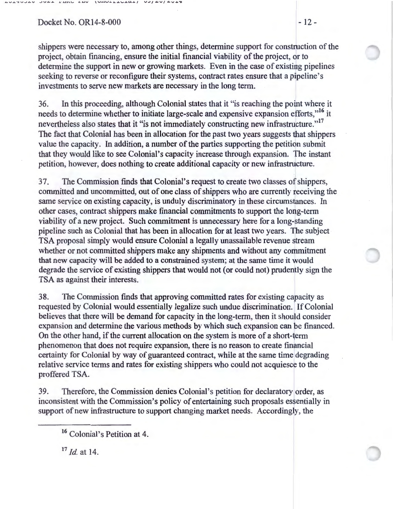$Docket No. OR14-8-000$  - 12-

shippers were necessary to, among other things, determine support for construction of the project, obtain financing, ensure the initial financial viability of the project, or to determine the support in new or growing markets. Even in the case of existing pipelines seeking to reverse or reconfigure their systems, contract rates ensure that a pipeline's investments to serve new markets are necessary in the long term.

36. In this proceeding, although Colonial states that it "is reaching the point where it needs to determine whether to initiate large-scale and expensive expansion efforts,"<sup>16</sup> it nevertheless also states that it "is not immediately constructing new infrastructure."<sup>17</sup> The fact that Colonial has been in allocation for the past two years suggests that shippers value the capacity. In addition, a number of the parties supporting the petition submit that they would like to see Colonial's capacity increase through expansion. The instant petition, however, does nothing to create additional capacity or new infrastructure.

3 7. The Commission finds that Colonial's request to create two classes of shippers, committed and uncommitted, out of one class of shippers who are currently receiving the same service on existing capacity, is unduly discriminatory in these circumstances. In other cases, contract shippers make financial commitments to support the long-term viability of a new project. Such commitment is unnecessary here for a long-standing pipeline such as Colonial that has been in allocation for at least two years. The subject TSA proposal simply would ensure Colonial a legally unassailable revenue stream whether or not committed shippers make any shipments and without any commitment that new capacity will be added to a constrained system; at the same time it would degrade the service of existing shippers that would not (or could not) prudently sign the TSA as against their interests.

38. The Commission finds that approving committed rates for existing capacity as requested by Colonial would essentially legalize such undue discrimination. If Colonial believes that there will be demand for capacity in the long-term, then it should consider expansion and determine the various methods by which such expansion can be financed. On the other hand, if the current allocation on the system is more of a short-term phenomenon that does not require expansion, there is no reason to create financial certainty for Colonial by way of guaranteed contract, while at the same time degrading relative service terms and rates for existing shippers who could not acquiesce to the proffered TSA.

39. Therefore, the Commission denies Colonial's petition for declaratory order, as inconsistent with the Commission's policy of entertaining such proposals essentially in support of new infrastructure to support changing market needs. Accordingly, the

<sup>17</sup>*!d.* at 14.

<sup>16</sup> Colonial's Petition at 4.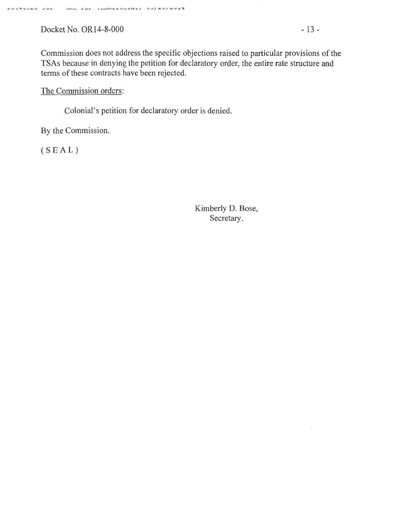Docket No. OR14-8-000 - 13 -

The Commission orders:

Colonial's petition for declaratory order is denied.

By the Commission.

(SEAL)

Kimberly D. Bose, Secretary.